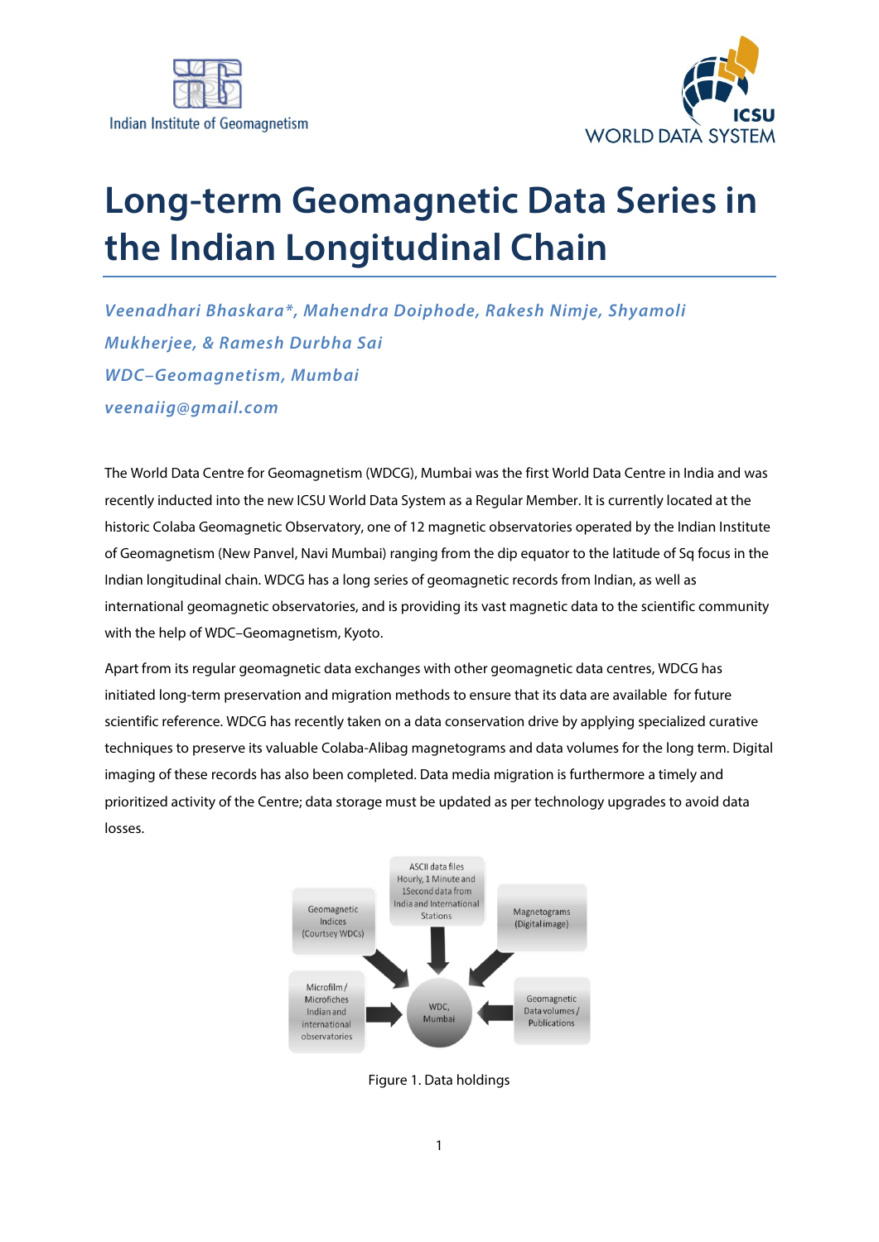



## **Long-term Geomagnetic Data Series in the Indian Longitudinal Chain**

*Veenadhari Bhaskara\*, Mahendra Doiphode, Rakesh Nimje, Shyamoli Mukherjee, & Ramesh Durbha Sai WDC–Geomagnetism, Mumbai veenaiig@gmail.com*

The World Data Centre for Geomagnetism (WDCG), Mumbai was the first World Data Centre in India and was recently inducted into the new ICSU World Data System as a Regular Member. It is currently located at the historic Colaba Geomagnetic Observatory, one of 12 magnetic observatories operated by the Indian Institute of Geomagnetism (New Panvel, Navi Mumbai) ranging from the dip equator to the latitude of Sq focus in the Indian longitudinal chain. WDCG has a long series of geomagnetic records from Indian, as well as international geomagnetic observatories, and is providing its vast magnetic data to the scientific community with the help of WDC–Geomagnetism, Kyoto.

Apart from its regular geomagnetic data exchanges with other geomagnetic data centres, WDCG has initiated long-term preservation and migration methods to ensure that its data are available for future scientific reference. WDCG has recently taken on a data conservation drive by applying specialized curative techniques to preserve its valuable Colaba-Alibag magnetograms and data volumes for the long term. Digital imaging of these records has also been completed. Data media migration is furthermore a timely and prioritized activity of the Centre; data storage must be updated as per technology upgrades to avoid data losses.



Figure 1. Data holdings